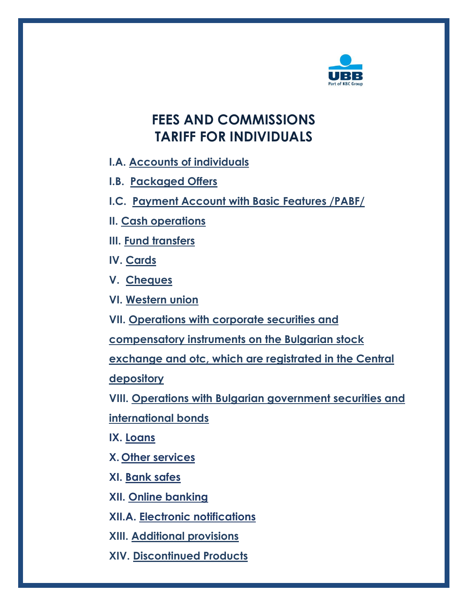

# <span id="page-0-0"></span>**FEES AND COMMISSIONS TARIFF FOR INDIVIDUALS**

- **I.A. [Accounts of individuals](#page-1-0)**
- **[I.B. Packaged Offers](#page-4-0)**
- **[I.C. Payment Account with Basic Features](#page-7-0) /PABF/**
- **[II. Cash operations](#page-9-0)**
- **III. Fund [transfers](#page-11-0)**
- **[IV. Cards](#page-15-0)**
- **[V. Cheques](#page-20-0)**
- **[VI. Western union](#page-21-0)**
- **VII. [Operations with corporate securities and](#page-22-0)**
- **[compensatory instruments](#page-22-0) on the Bulgarian stock**
- **exchange and otc, which are registrated in the Central**
- **depository**
- **VIII. [Operations with Bulgarian government securities](#page-23-0) and**
- **[international bonds](#page-23-0)**
- **IX. [Loans](#page-24-0)**
- **X. [Other services](#page-27-0)**
- **[XI. Bank safes](#page-28-0)**
- **[XII. Online](#page-29-0) banking**
- **[XII.A. Electronic notifications](#page-30-0)**
- **XIII. [Additional provisions](#page-31-0)**
- **XIV. [Discontinued Products](#page-32-0)**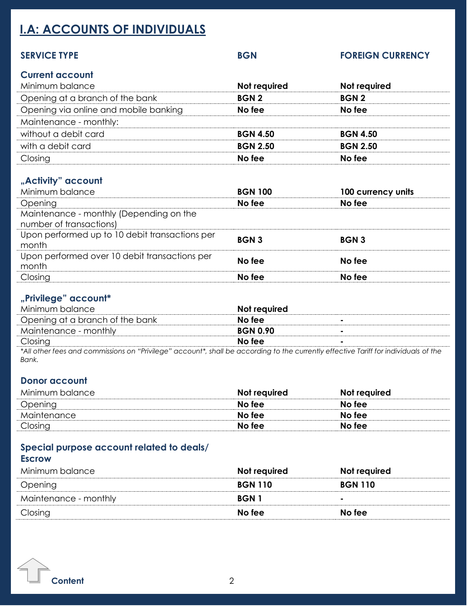# <span id="page-1-0"></span>**I.A: ACCOUNTS OF INDIVIDUALS**

| <b>SERVICE TYPE</b>                                                | <b>BGN</b>      | <b>FOREIGN CURRENCY</b> |
|--------------------------------------------------------------------|-----------------|-------------------------|
| <b>Current account</b><br>Minimum balance                          | Not required    | Not required            |
| Opening at a branch of the bank                                    | <b>BGN2</b>     | <b>BGN2</b>             |
| Opening via online and mobile banking                              | No fee          | No fee                  |
| Maintenance - monthly:                                             |                 |                         |
| without a debit card                                               | <b>BGN 4.50</b> | <b>BGN 4.50</b>         |
| with a debit card                                                  | <b>BGN 2.50</b> | <b>BGN 2.50</b>         |
| Closing                                                            | No fee          | No fee                  |
| "Activity" account<br>Minimum balance                              | <b>BGN 100</b>  | 100 currency units      |
| Opening                                                            | No fee          | No fee                  |
| Maintenance - monthly (Depending on the<br>number of transactions) |                 |                         |
| Upon performed up to 10 debit transactions per<br>month            | <b>BGN3</b>     | <b>BGN3</b>             |

**"Privilege" account\*** Minimum balance **Not required** Opening at a branch of the bank **No fee No fee -**

Upon performed over 10 debit transactions per month **No fee No fee**

Closing **No fee No fee**

| المستحدث المستحدث والمستحيل والمستحين                                                                                                |                 |  |
|--------------------------------------------------------------------------------------------------------------------------------------|-----------------|--|
| Maintenance - monthly                                                                                                                | <b>BGN 0.90</b> |  |
| Closing                                                                                                                              | No fee          |  |
| *All other fees and commissions on "Privilege" account*, shall be according to the currently effective Tariff for individuals of the |                 |  |
| Bank.                                                                                                                                |                 |  |

## **Donor account**

| Minimum balance | Not required | Not required |
|-----------------|--------------|--------------|
| Opening         | No fee       | No fee       |
| Maintenance     | No fee       | No fee       |
| Closing         | No fee       | No fee       |

## **Special purpose account related to deals/**

### **Escrow**

| Minimum balance       | Not required   | Not required   |
|-----------------------|----------------|----------------|
| Opening               | <b>BGN 110</b> | <b>BGN 110</b> |
| Maintenance - monthly | BGN 1          | ۰              |
| Closing               | No fee         | No fee         |
|                       |                |                |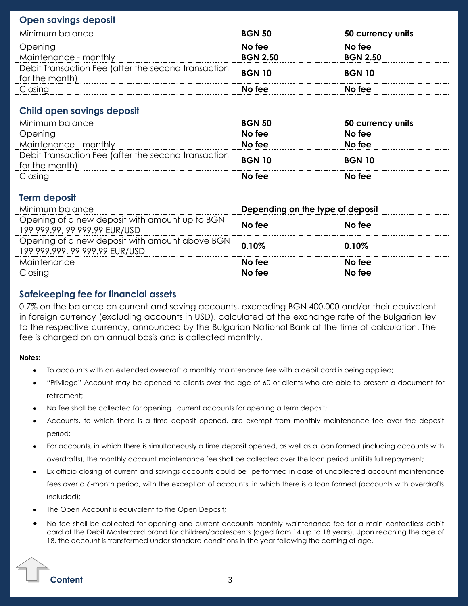## **Open savings deposit**

| Minimum balance                                                       | <b>BGN 50</b>   | 50 currency units |
|-----------------------------------------------------------------------|-----------------|-------------------|
| Opening                                                               | No fee          | No fee            |
| Maintenance - monthly                                                 | <b>BGN 2.50</b> | <b>BGN 2.50</b>   |
| Debit Transaction Fee (after the second transaction<br>for the month) | <b>BGN 10</b>   | <b>BGN 10</b>     |
| Closing                                                               | No fee          | No fee            |

### **Child open savings deposit**

| Minimum balance                                     | <b>BGN 50</b> | 50 currency units |
|-----------------------------------------------------|---------------|-------------------|
| Opening                                             | No fee        | No fee            |
| Maintenance - monthly                               | No fee        | No fee            |
| Debit Transaction Fee (after the second transaction | <b>BGN 10</b> | <b>BGN 10</b>     |
| for the month)                                      |               |                   |
| Closing                                             | No fee        | No fee            |

## **Term deposit**

| Minimum balance                                                                  | Depending on the type of deposit |        |
|----------------------------------------------------------------------------------|----------------------------------|--------|
| Opening of a new deposit with amount up to BGN<br>199 999.99, 99 999.99 EUR/USD  | No fee                           | No fee |
| Opening of a new deposit with amount above BGN<br>199 999.999, 99 999.99 EUR/USD | 0.10%                            | 0.10%  |
| Maintenance                                                                      | No fee                           | No fee |
| Closing                                                                          | No fee                           | No fee |
|                                                                                  |                                  |        |

### **Safekeeping fee for financial assets**

0.7% on the balance on current and saving accounts, exceeding BGN 400,000 and/or their equivalent in foreign currency (excluding accounts in USD), calculated at the exchange rate of the Bulgarian lev to the respective currency, announced by the Bulgarian National Bank at the time of calculation. The fee is charged on an annual basis and is collected monthly.

### **Notes:**

- To accounts with an extended overdraft a monthly maintenance fee with a debit card is being applied;
- "Privilege" Account may be opened to clients over the age of 60 or clients who are able to present a document for retirement;
- No fee shall be collected for opening current accounts for opening a term deposit;
- Accounts, to which there is a time deposit opened, are exempt from monthly maintenance fee over the deposit period;
- For accounts, in which there is simultaneously a time deposit opened, as well as a loan formed (including accounts with overdrafts), the monthly account maintenance fee shall be collected over the loan period until its full repayment;
- Ex officio closing of current and savings accounts could be performed in case of uncollected account maintenance fees over a 6-month period, with the exception of accounts, in which there is a loan formed (accounts with overdrafts included);
- The Open Account is equivalent to the Open Deposit;
- No fee shall be collected for opening and current accounts monthly мaintenance fee for a main contactless debit card of the Debit Mastercard brand for children/adolescents (aged from 14 up to 18 years). Upon reaching the age of 18, the account is transformed under standard conditions in the year following the coming of age.

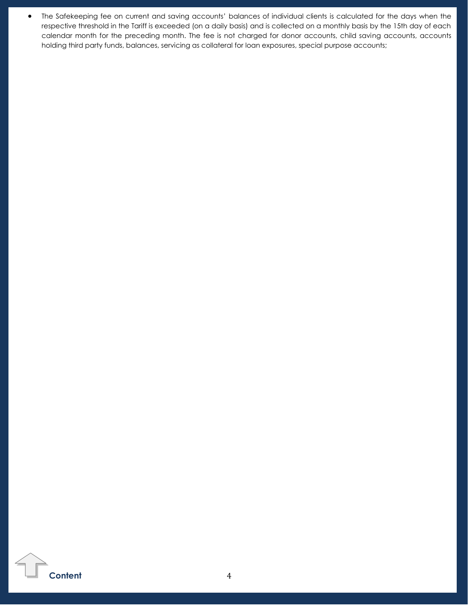• The Safekeeping fee on current and saving accounts' balances of individual clients is calculated for the days when the respective threshold in the Tariff is exceeded (on a daily basis) and is collected on a monthly basis by the 15th day of each calendar month for the preceding month. The fee is not charged for donor accounts, child saving accounts, accounts holding third party funds, balances, servicing as collateral for loan exposures, special purpose accounts;

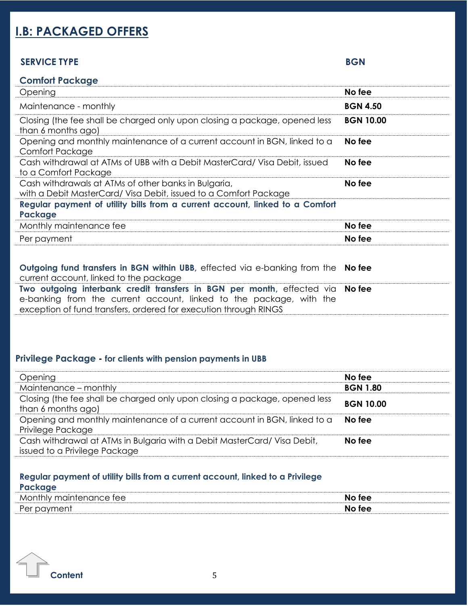# <span id="page-4-0"></span>**I.B: PACKAGED OFFERS**

### **SERVICE TYPE BGN**

| <b>Comfort Package</b>                                                                                                                                                                                            |                  |
|-------------------------------------------------------------------------------------------------------------------------------------------------------------------------------------------------------------------|------------------|
| Opening                                                                                                                                                                                                           | No fee           |
| Maintenance - monthly                                                                                                                                                                                             | <b>BGN 4.50</b>  |
| Closing (the fee shall be charged only upon closing a package, opened less<br>than 6 months ago)                                                                                                                  | <b>BGN 10.00</b> |
| Opening and monthly maintenance of a current account in BGN, linked to a<br><b>Comfort Package</b>                                                                                                                | No fee           |
| Cash withdrawal at ATMs of UBB with a Debit MasterCard/ Visa Debit, issued<br>to a Comfort Package                                                                                                                | No fee           |
| Cash withdrawals at ATMs of other banks in Bulgaria,<br>with a Debit MasterCard/ Visa Debit, issued to a Comfort Package                                                                                          | No fee           |
| Regular payment of utility bills from a current account, linked to a Comfort<br>Package                                                                                                                           |                  |
| Monthly maintenance fee                                                                                                                                                                                           | No fee           |
| Per payment                                                                                                                                                                                                       | No fee           |
|                                                                                                                                                                                                                   |                  |
| Outgoing fund transfers in BGN within UBB, effected via e-banking from the<br>current account, linked to the package                                                                                              | No fee           |
| Two outgoing interbank credit transfers in BGN per month, effected via<br>e-banking from the current account, linked to the package, with the<br>exception of fund transfers, ordered for execution through RINGS | No fee           |

### **Privilege Package - for clients with pension payments in UBB**

| Opening                                                                                                  | No fee           |
|----------------------------------------------------------------------------------------------------------|------------------|
| Maintenance - monthly                                                                                    | <b>BGN 1.80</b>  |
| Closing (the fee shall be charged only upon closing a package, opened less<br>than 6 months ago)         | <b>BGN 10.00</b> |
| Opening and monthly maintenance of a current account in BGN, linked to a<br>Privilege Package            | No fee           |
| Cash withdrawal at ATMs in Bulgaria with a Debit MasterCard/Visa Debit,<br>issued to a Privilege Package | No fee           |

### **Regular payment of utility bills from a current account, linked to a Privilege**

| Monthly<br><sup>,</sup> maintenance tee | No fee |
|-----------------------------------------|--------|
| Per<br>$\mathcal{L}$<br>ັບພ             | No fee |

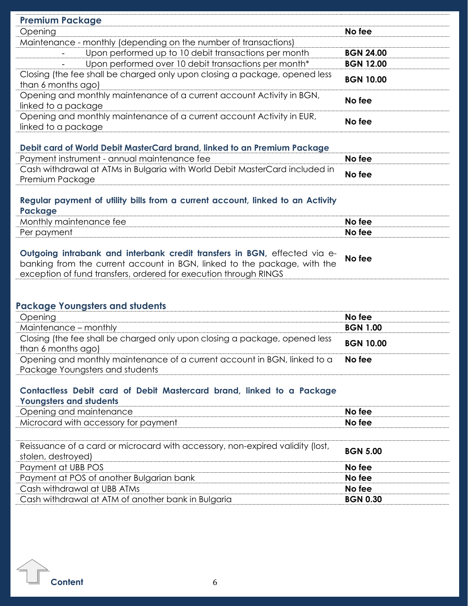| <b>Premium Package</b>                                                                                                                                                                                                    |                  |
|---------------------------------------------------------------------------------------------------------------------------------------------------------------------------------------------------------------------------|------------------|
| Opening                                                                                                                                                                                                                   | No fee           |
| Maintenance - monthly (depending on the number of transactions)                                                                                                                                                           |                  |
| Upon performed up to 10 debit transactions per month                                                                                                                                                                      | <b>BGN 24.00</b> |
| Upon performed over 10 debit transactions per month*                                                                                                                                                                      | <b>BGN 12.00</b> |
| Closing (the fee shall be charged only upon closing a package, opened less<br>than 6 months ago)                                                                                                                          | <b>BGN 10.00</b> |
| Opening and monthly maintenance of a current account Activity in BGN,<br>linked to a package                                                                                                                              | No fee           |
| Opening and monthly maintenance of a current account Activity in EUR,<br>linked to a package                                                                                                                              | No fee           |
| Debit card of World Debit MasterCard brand, linked to an Premium Package                                                                                                                                                  |                  |
| Payment instrument - annual maintenance fee                                                                                                                                                                               | No fee           |
| Cash withdrawal at ATMs in Bulgaria with World Debit MasterCard included in<br>Premium Package                                                                                                                            | No fee           |
| Regular payment of utility bills from a current account, linked to an Activity<br>Package                                                                                                                                 |                  |
| Monthly maintenance fee                                                                                                                                                                                                   | No fee           |
| Per payment                                                                                                                                                                                                               | No fee           |
| Outgoing intrabank and interbank credit transfers in BGN, effected via e-<br>banking from the current account in BGN, linked to the package, with the<br>exception of fund transfers, ordered for execution through RINGS | No fee           |
| <b>Package Youngsters and students</b>                                                                                                                                                                                    |                  |
| Opening                                                                                                                                                                                                                   | No fee           |
| Maintenance - monthly                                                                                                                                                                                                     | <b>BGN 1.00</b>  |
| Closing (the fee shall be charged only upon closing a package, opened less                                                                                                                                                |                  |
| than 6 months ago)                                                                                                                                                                                                        | <b>BGN 10.00</b> |
| Opening and monthly maintenance of a current account in BGN, linked to a                                                                                                                                                  | No fee           |
| Package Youngsters and students                                                                                                                                                                                           |                  |
| Contactless Debit card of Debit Mastercard brand, linked to a Package<br><b>Youngsters and students</b>                                                                                                                   |                  |
| Opening and maintenance                                                                                                                                                                                                   | No fee           |
| Microcard with accessory for payment                                                                                                                                                                                      | No fee           |
|                                                                                                                                                                                                                           |                  |
| Reissuance of a card or microcard with accessory, non-expired validity (lost,<br>stolen, destroyed)                                                                                                                       | <b>BGN 5.00</b>  |
| Payment at UBB POS                                                                                                                                                                                                        | No fee           |
| Payment at POS of another Bulgarian bank                                                                                                                                                                                  | No fee           |
| Cash withdrawal at UBB ATMs                                                                                                                                                                                               | No fee           |
| Cash withdrawal at ATM of another bank in Bulgaria                                                                                                                                                                        | <b>BGN 0.30</b>  |
|                                                                                                                                                                                                                           |                  |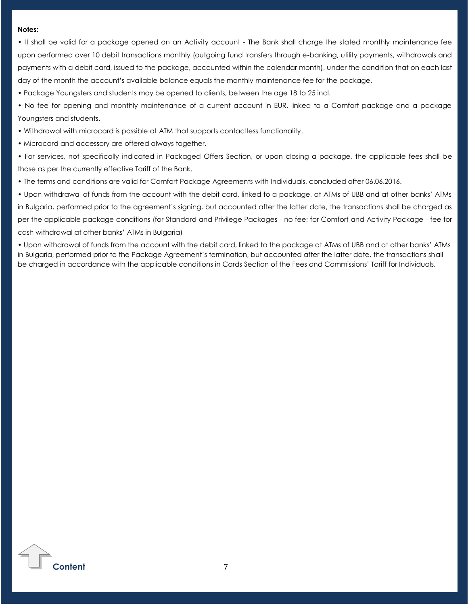#### **Notes:**

• It shall be valid for a package opened on an Activity account - The Bank shall charge the stated monthly maintenance fee upon performed over 10 debit transactions monthly (outgoing fund transfers through e-banking, utility payments, withdrawals and payments with a debit card, issued to the package, accounted within the calendar month), under the condition that on each last day of the month the account's available balance equals the monthly maintenance fee for the package.

• Package Youngsters and students may be opened to clients, between the age 18 to 25 incl.

• No fee for opening and monthly maintenance of a current account in EUR, linked to a Comfort package and a package Youngsters and students.

• Withdrawal with microcard is possible at ATM that supports contactless functionality.

• Microcard and accessory are offered always together.

• For services, not specifically indicated in Packaged Offers Section, or upon closing a package, the applicable fees shall be those as per the currently effective Tariff of the Bank.

• The terms and conditions are valid for Comfort Package Agreements with Individuals, concluded after 06.06.2016.

• Upon withdrawal of funds from the account with the debit card, linked to a package, at ATMs of UBB and at other banks' ATMs in Bulgaria, performed prior to the agreement's signing, but accounted after the latter date, the transactions shall be charged as per the applicable package conditions (for Standard and Privilege Packages - no fee; for Comfort and Activity Package - fee for cash withdrawal at other banks' ATMs in Bulgaria)

• Upon withdrawal of funds from the account with the debit card, linked to the package at ATMs of UBB and at other banks' ATMs in Bulgaria, performed prior to the Package Agreement's termination, but accounted after the latter date, the transactions shall be charged in accordance with the applicable conditions in Cards Section of the Fees and Commissions' Tariff for Individuals.

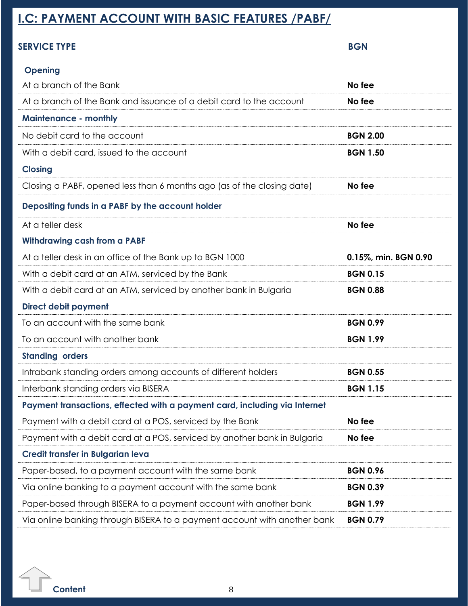# <span id="page-7-0"></span>**I.C: PAYMENT ACCOUNT WITH BASIC FEATURES /PABF/**

# **SERVICE TYPE BGN**

# **Opening**

| At a branch of the Bank                                                    | No fee               |
|----------------------------------------------------------------------------|----------------------|
| At a branch of the Bank and issuance of a debit card to the account        | No fee               |
| <b>Maintenance - monthly</b>                                               |                      |
| No debit card to the account                                               | <b>BGN 2.00</b>      |
| With a debit card, issued to the account                                   | <b>BGN 1.50</b>      |
| <b>Closing</b>                                                             |                      |
| Closing a PABF, opened less than 6 months ago (as of the closing date)     | No fee               |
| Depositing funds in a PABF by the account holder                           |                      |
| At a teller desk                                                           | No fee               |
| <b>Withdrawing cash from a PABF</b>                                        |                      |
| At a teller desk in an office of the Bank up to BGN 1000                   | 0.15%, min. BGN 0.90 |
| With a debit card at an ATM, serviced by the Bank                          | <b>BGN 0.15</b>      |
| With a debit card at an ATM, serviced by another bank in Bulgaria          | <b>BGN 0.88</b>      |
| <b>Direct debit payment</b>                                                |                      |
| To an account with the same bank                                           | <b>BGN 0.99</b>      |
| To an account with another bank                                            | <b>BGN 1.99</b>      |
| <b>Standing orders</b>                                                     |                      |
| Intrabank standing orders among accounts of different holders              | <b>BGN 0.55</b>      |
| Interbank standing orders via BISERA                                       | <b>BGN 1.15</b>      |
| Payment transactions, effected with a payment card, including via Internet |                      |
| Payment with a debit card at a POS, serviced by the Bank                   | No fee               |
| Payment with a debit card at a POS, serviced by another bank in Bulgaria   | No fee               |
| Credit transfer in Bulgarian leva                                          |                      |
| Paper-based, to a payment account with the same bank                       | <b>BGN 0.96</b>      |
| Via online banking to a payment account with the same bank                 | <b>BGN 0.39</b>      |
| Paper-based through BISERA to a payment account with another bank          | <b>BGN 1.99</b>      |
| Via online banking through BISERA to a payment account with another bank   | <b>BGN 0.79</b>      |

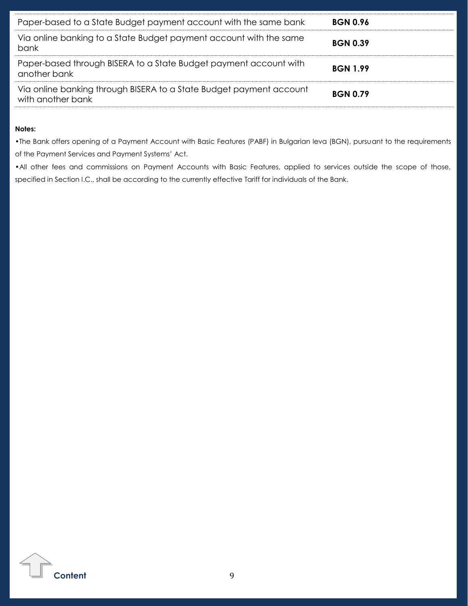| Paper-based to a State Budget payment account with the same bank                         | <b>BGN 0.96</b> |
|------------------------------------------------------------------------------------------|-----------------|
| Via online banking to a State Budget payment account with the same<br>bank               | <b>BGN 0.39</b> |
| Paper-based through BISERA to a State Budget payment account with<br>another bank        | <b>BGN 1.99</b> |
| Via online banking through BISERA to a State Budget payment account<br>with another bank | <b>BGN 0.79</b> |

#### **Notes:**

•The Bank offers opening of a Payment Account with Basic Features (PABF) in Bulgarian leva (BGN), pursuant to the requirements of the Payment Services and Payment Systems' Act.

•All other fees and commissions on Payment Accounts with Basic Features, applied to services outside the scope of those, specified in Section I.C., shall be according to the currently effective Tariff for individuals of the Bank.

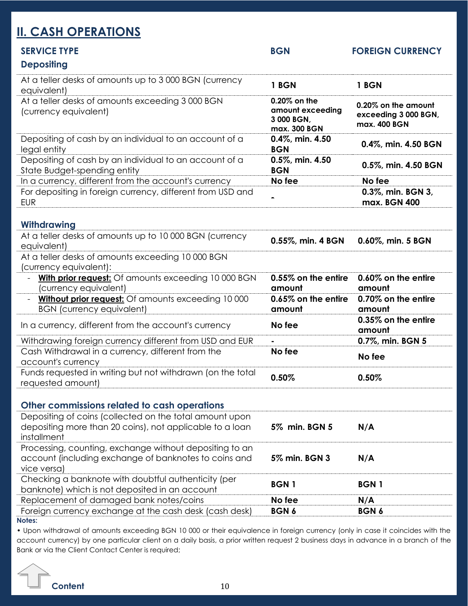# <span id="page-9-0"></span>**II. CASH OPERATIONS**

| <b>SERVICE TYPE</b><br><b>Depositing</b>                                                                                           | <b>BGN</b>                                                     | <b>FOREIGN CURRENCY</b>                                     |
|------------------------------------------------------------------------------------------------------------------------------------|----------------------------------------------------------------|-------------------------------------------------------------|
| At a teller desks of amounts up to 3000 BGN (currency<br>equivalent)                                                               | 1 BGN                                                          | 1 BGN                                                       |
| At a teller desks of amounts exceeding 3000 BGN<br>(currency equivalent)                                                           | 0.20% on the<br>amount exceeding<br>3 000 BGN,<br>max. 300 BGN | 0.20% on the amount<br>exceeding 3 000 BGN,<br>max. 400 BGN |
| Depositing of cash by an individual to an account of a<br>legal entity                                                             | 0.4%, min. 4.50<br><b>BGN</b>                                  | 0.4%, min. 4.50 BGN                                         |
| Depositing of cash by an individual to an account of a<br>State Budget-spending entity                                             | 0.5%, min. 4.50<br><b>BGN</b>                                  | 0.5%, min. 4.50 BGN                                         |
| In a currency, different from the account's currency                                                                               | No fee                                                         | No fee                                                      |
| For depositing in foreign currency, different from USD and<br><b>EUR</b>                                                           | $\blacksquare$                                                 | 0.3%, min. BGN 3,<br>max. BGN 400                           |
| Withdrawing                                                                                                                        |                                                                |                                                             |
| At a teller desks of amounts up to 10 000 BGN (currency<br>equivalent)                                                             | 0.55%, min. 4 BGN                                              | 0.60%, min. 5 BGN                                           |
| At a teller desks of amounts exceeding 10 000 BGN<br>(currency equivalent):                                                        |                                                                |                                                             |
| <b>With prior request:</b> Of amounts exceeding 10 000 BGN<br>(currency equivalent)                                                | 0.55% on the entire<br>amount                                  | 0.60% on the entire<br>amount                               |
| Without prior request: Of amounts exceeding 10 000<br><b>BGN</b> (currency equivalent)                                             | 0.65% on the entire<br>amount                                  | 0.70% on the entire<br>amount                               |
| In a currency, different from the account's currency                                                                               | No fee                                                         | 0.35% on the entire<br>amount                               |
| Withdrawing foreign currency different from USD and EUR                                                                            |                                                                | 0.7%, min. BGN 5                                            |
| Cash Withdrawal in a currency, different from the<br>account's currency                                                            | No fee                                                         | No fee                                                      |
| Funds requested in writing but not withdrawn (on the total<br>requested amount)                                                    | 0.50%                                                          | 0.50%                                                       |
| Other commissions related to cash operations                                                                                       |                                                                |                                                             |
| Depositing of coins (collected on the total amount upon<br>depositing more than 20 coins), not applicable to a loan<br>installment | 5% min. BGN 5                                                  | N/A                                                         |
| Processing, counting, exchange without depositing to an<br>account (including exchange of banknotes to coins and<br>vice versa)    | 5% min. BGN 3                                                  | N/A                                                         |
| Checking a banknote with doubtful authenticity (per<br>banknote) which is not deposited in an account                              | <b>BGN1</b>                                                    | <b>BGN1</b>                                                 |
| Replacement of damaged bank notes/coins                                                                                            | No fee                                                         | N/A                                                         |
| Foreign currency exchange at the cash desk (cash desk)<br>Notes:                                                                   | BGN 6                                                          | BGN 6                                                       |

• Upon withdrawal of amounts exceeding BGN 10 000 or their equivalence in foreign currency (only in case it coincides with the account currency) by one particular client on a daily basis, a prior written request 2 business days in advance in a branch of the Bank or via the Client Contact Center is required;

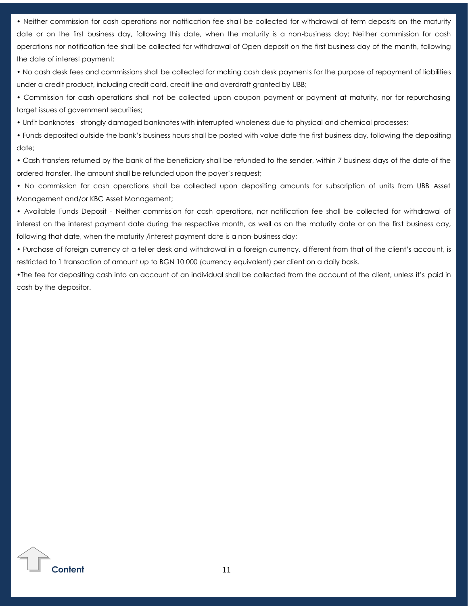• Neither commission for cash operations nor notification fee shall be collected for withdrawal of term deposits on the maturity date or on the first business day, following this date, when the maturity is a non-business day; Neither commission for cash operations nor notification fee shall be collected for withdrawal of Open deposit on the first business day of the month, following the date of interest payment;

• No cash desk fees and commissions shall be collected for making cash desk payments for the purpose of repayment of liabilities under a credit product, including credit card, credit line and overdraft granted by UBB;

• Commission for cash operations shall not be collected upon coupon payment or payment at maturity, nor for repurchasing target issues of government securities;

• Unfit banknotes - strongly damaged banknotes with interrupted wholeness due to physical and chemical processes;

• Funds deposited outside the bank's business hours shall be posted with value date the first business day, following the depositing date;

• Cash transfers returned by the bank of the beneficiary shall be refunded to the sender, within 7 business days of the date of the ordered transfer. The amount shall be refunded upon the payer's request;

• No commission for cash operations shall be collected upon depositing amounts for subscription of units from UBB Asset Management and/or KBC Asset Management;

• Available Funds Deposit - Neither commission for cash operations, nor notification fee shall be collected for withdrawal of interest on the interest payment date during the respective month, as well as on the maturity date or on the first business day, following that date, when the maturity /interest payment date is a non-business day;

• Purchase of foreign currency at a teller desk and withdrawal in a foreign currency, different from that of the client's account, is restricted to 1 transaction of amount up to BGN 10 000 (currency equivalent) per client on a daily basis.

•The fee for depositing cash into an account of an individual shall be collected from the account of the client, unless it's paid in cash by the depositor.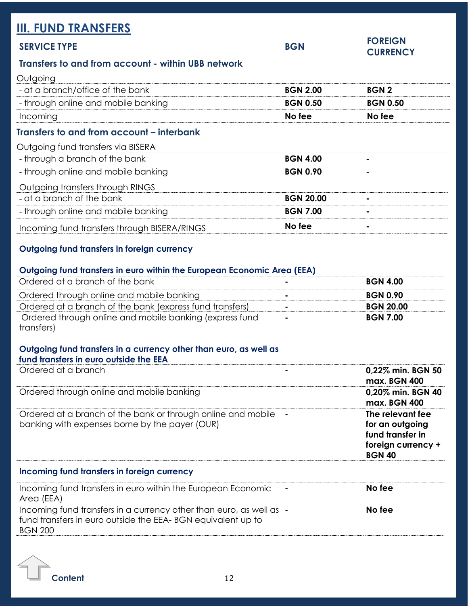<span id="page-11-0"></span>

| <b>III. FUND TRANSFERS</b><br><b>SERVICE TYPE</b>  | <b>BGN</b>       | <b>FOREIGN</b><br><b>CURRENCY</b> |
|----------------------------------------------------|------------------|-----------------------------------|
| Transfers to and from account - within UBB network |                  |                                   |
| Outgoing                                           |                  |                                   |
| - at a branch/office of the bank                   | <b>BGN 2.00</b>  | <b>BGN2</b>                       |
| - through online and mobile banking                | <b>BGN 0.50</b>  | <b>BGN 0.50</b>                   |
| Incoming                                           | No fee           | No fee                            |
| Transfers to and from account – interbank          |                  |                                   |
| Outgoing fund transfers via BISERA                 |                  |                                   |
| - through a branch of the bank                     | <b>BGN 4.00</b>  |                                   |
| - through online and mobile banking                | <b>BGN 0.90</b>  |                                   |
| Outgoing transfers through RINGS                   |                  |                                   |
| - at a branch of the bank                          | <b>BGN 20.00</b> |                                   |
| - through online and mobile banking                | <b>BGN 7.00</b>  |                                   |
| Incoming fund transfers through BISERA/RINGS       | No fee           |                                   |
| Outgoing fund transfers in foreign currency        |                  |                                   |

| Outgoing fund transfers in euro within the European Economic Area (EEA) |                 |
|-------------------------------------------------------------------------|-----------------|
| Ordered at a branch of the bank                                         | <b>BGN 4.00</b> |
| Ordered through online and mobile banking                               | <b>BGN 0.90</b> |

| Ordered through online and mobile banking                | <b>BGN 0.90</b>  |
|----------------------------------------------------------|------------------|
| Ordered at a branch of the bank (express fund transfers) | <b>BGN 20.00</b> |
| Ordered through online and mobile banking (express fund  | <b>BGN 7.00</b>  |
| transfers)                                               |                  |

### **Outgoing fund transfers in a currency other than euro, as well as fund transfers in euro outside the EEA**

| Ordered at a branch                                                                                                                                  | 0,22% min. BGN 50<br>max. BGN 400                                                              |
|------------------------------------------------------------------------------------------------------------------------------------------------------|------------------------------------------------------------------------------------------------|
| Ordered through online and mobile banking                                                                                                            | 0,20% min. BGN 40<br>max. BGN 400                                                              |
| Ordered at a branch of the bank or through online and mobile<br>banking with expenses borne by the payer (OUR)                                       | The relevant fee<br>for an outgoing<br>fund transfer in<br>foreign currency +<br><b>BGN 40</b> |
| Incoming fund transfers in foreign currency                                                                                                          |                                                                                                |
| Incoming fund transfers in euro within the European Economic<br>Area (EEA)                                                                           | No fee                                                                                         |
| Incoming fund transfers in a currency other than euro, as well as -<br>fund transfers in euro outside the EEA-BGN equivalent up to<br><b>BGN 200</b> | No fee                                                                                         |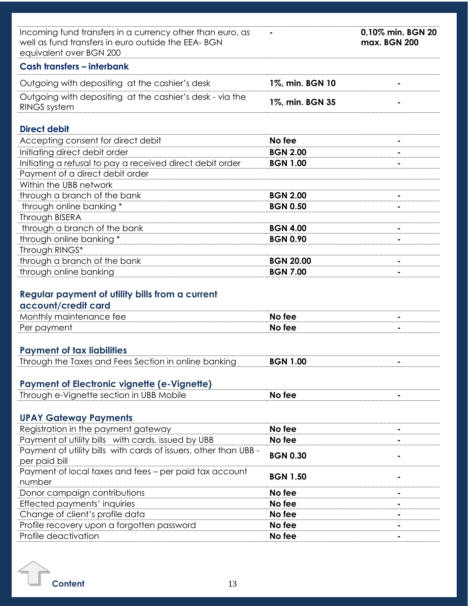| Incoming fund transfers in a currency other than euro, as<br>well as fund transfers in euro outside the EEA-BGN<br>equivalent over BGN 200 |                  | 0,10% min. BGN 20<br>max. BGN 200 |
|--------------------------------------------------------------------------------------------------------------------------------------------|------------------|-----------------------------------|
| Cash transfers - interbank                                                                                                                 |                  |                                   |
| Outgoing with depositing at the cashier's desk                                                                                             | 1%, min. BGN 10  |                                   |
| Outgoing with depositing at the cashier's desk - via the<br><b>RINGS system</b>                                                            | 1%, min. BGN 35  |                                   |
| <b>Direct debit</b>                                                                                                                        |                  |                                   |
| Accepting consent for direct debit                                                                                                         | No fee           |                                   |
| Initiating direct debit order                                                                                                              | <b>BGN 2.00</b>  |                                   |
| Initiating a refusal to pay a received direct debit order                                                                                  | <b>BGN 1.00</b>  |                                   |
| Payment of a direct debit order                                                                                                            |                  |                                   |
| Within the UBB network                                                                                                                     |                  |                                   |
| through a branch of the bank                                                                                                               | <b>BGN 2.00</b>  |                                   |
| through online banking *                                                                                                                   | <b>BGN 0.50</b>  |                                   |
| Through BISERA                                                                                                                             |                  |                                   |
| through a branch of the bank                                                                                                               | <b>BGN 4.00</b>  |                                   |
| through online banking *                                                                                                                   | <b>BGN 0.90</b>  |                                   |
| Through RINGS*                                                                                                                             |                  |                                   |
| through a branch of the bank                                                                                                               | <b>BGN 20.00</b> | $\blacksquare$                    |
| through online banking                                                                                                                     | <b>BGN 7.00</b>  |                                   |
| Regular payment of utility bills from a current<br>account/credit card<br>Monthly maintenance fee                                          | No fee           |                                   |
| Per payment                                                                                                                                | No fee           | $\blacksquare$                    |
|                                                                                                                                            |                  |                                   |
| <b>Payment of tax liabilities</b>                                                                                                          |                  |                                   |
| Through the Taxes and Fees Section in online banking                                                                                       | <b>BGN 1.00</b>  |                                   |
|                                                                                                                                            |                  |                                   |
| <b>Payment of Electronic vignette (e-Vignette)</b>                                                                                         |                  |                                   |
| Through e-Vignette section in UBB Mobile                                                                                                   | No fee           |                                   |
|                                                                                                                                            |                  |                                   |
| <b>UPAY Gateway Payments</b>                                                                                                               |                  |                                   |
| Registration in the payment gateway                                                                                                        | No fee           |                                   |
| Payment of utility bills with cards, issued by UBB                                                                                         | No fee           |                                   |
| Payment of utility bills with cards of issuers, other than UBB -                                                                           | <b>BGN 0.30</b>  |                                   |
| per paid bill                                                                                                                              |                  |                                   |
| Payment of local taxes and fees – per paid tax account                                                                                     | <b>BGN 1.50</b>  |                                   |
| number                                                                                                                                     |                  |                                   |
| Donor campaign contributions                                                                                                               | No fee           | ۰                                 |
| Effected payments' inquiries                                                                                                               | No fee           |                                   |
| Change of client's profile data                                                                                                            | No fee           |                                   |
| Profile recovery upon a forgotten password                                                                                                 | No fee           |                                   |
| Profile deactivation                                                                                                                       | No fee           |                                   |

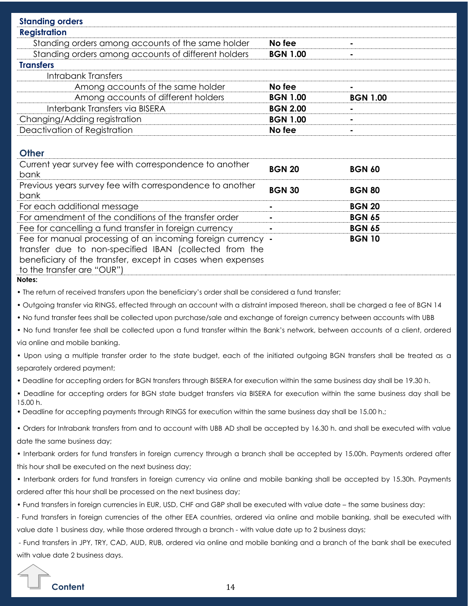| <b>Standing orders</b>                                                                                                          |                 |                 |
|---------------------------------------------------------------------------------------------------------------------------------|-----------------|-----------------|
| <b>Registration</b>                                                                                                             |                 |                 |
| Standing orders among accounts of the same holder                                                                               | No fee          |                 |
| Standing orders among accounts of different holders                                                                             | <b>BGN 1.00</b> |                 |
| <b>Transfers</b>                                                                                                                |                 |                 |
| <b>Intrabank Transfers</b>                                                                                                      |                 |                 |
| Among accounts of the same holder                                                                                               | No fee          |                 |
| Among accounts of different holders                                                                                             | <b>BGN 1.00</b> | <b>BGN 1.00</b> |
| Interbank Transfers via BISERA                                                                                                  | <b>BGN 2.00</b> |                 |
| Changing/Adding registration                                                                                                    | <b>BGN 1.00</b> |                 |
| Deactivation of Registration                                                                                                    | No fee          |                 |
| <b>Other</b>                                                                                                                    |                 |                 |
| Current year survey fee with correspondence to another                                                                          | <b>BGN 20</b>   | <b>BGN 60</b>   |
| bank                                                                                                                            |                 |                 |
| Previous years survey fee with correspondence to another<br>bank                                                                | <b>BGN 30</b>   | <b>BGN 80</b>   |
| For each additional message                                                                                                     |                 | <b>BGN 20</b>   |
| For amendment of the conditions of the transfer order                                                                           |                 | <b>BGN 65</b>   |
| Fee for cancelling a fund transfer in foreign currency                                                                          |                 | <b>BGN 65</b>   |
| Fee for manual processing of an incoming foreign currency -                                                                     |                 | <b>BGN 10</b>   |
| transfer due to non-specified IBAN (collected from the                                                                          |                 |                 |
| beneficiary of the transfer, except in cases when expenses                                                                      |                 |                 |
| to the transfer are "OUR")<br>Notes:                                                                                            |                 |                 |
| . The return of received transfers upon the beneficiary's order shall be considered a fund transfer;                            |                 |                 |
|                                                                                                                                 |                 |                 |
| . Outgoing transfer via RINGS, effected through an account with a distraint imposed thereon, shall be charged a fee of BGN 14   |                 |                 |
| . No fund transfer fees shall be collected upon purchase/sale and exchange of foreign currency between accounts with UBB        |                 |                 |
| . No fund transfer fee shall be collected upon a fund transfer within the Bank's network, between accounts of a client, ordered |                 |                 |
| via online and mobile banking.                                                                                                  |                 |                 |
| . Upon using a multiple transfer order to the state budget, each of the initiated outgoing BGN transfers shall be treated as a  |                 |                 |
| separately ordered payment;                                                                                                     |                 |                 |
| . Deadline for accepting orders for BGN transfers through BISERA for execution within the same business day shall be 19.30 h.   |                 |                 |
| . Deadline for accepting orders for BGN state budget transfers via BISERA for execution within the same business day shall be   |                 |                 |

• Deadline for accepting payments through RINGS for execution within the same business day shall be 15.00 h.;

• Orders for Intrabank transfers from and to account with UBB AD shall be accepted by 16.30 h. and shall be executed with value date the same business day;

• Interbank orders for fund transfers in foreign currency through a branch shall be accepted by 15.00h. Payments ordered after this hour shall be executed on the next business day;

• Interbank orders for fund transfers in foreign currency via online and mobile banking shall be accepted by 15.30h. Payments ordered after this hour shall be processed on the next business day;

• Fund transfers in foreign currencies in EUR, USD, CHF and GBP shall be executed with value date – the same business day:

- Fund transfers in foreign currencies of the other EEA countries, ordered via online and mobile banking, shall be executed with value date 1 business day, while those ordered through a branch - with value date up to 2 business days;

- Fund transfers in JPY, TRY, CAD, AUD, RUB, ordered via online and mobile banking and a branch of the bank shall be executed with value date 2 business days.



15.00 h.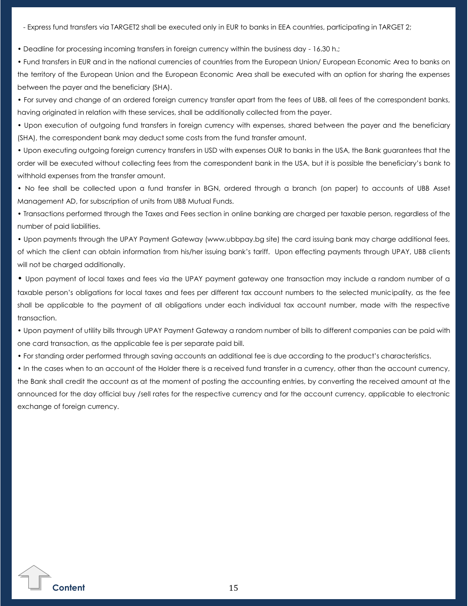- Express fund transfers via TARGET2 shall be executed only in EUR to banks in EEA countries, participating in TARGET 2;

• Deadline for processing incoming transfers in foreign currency within the business day - 16.30 h.;

• Fund transfers in ЕUR and in the national currencies of countries from the European Union/ European Economic Area to banks on the territory of the European Union and the European Economic Area shall be executed with an option for sharing the expenses between the payer and the beneficiary (SHA).

• For survey and change of an ordered foreign currency transfer apart from the fees of UBB, all fees of the correspondent banks, having originated in relation with these services, shall be additionally collected from the payer.

• Upon execution of outgoing fund transfers in foreign currency with expenses, shared between the payer and the beneficiary (SHA), the correspondent bank may deduct some costs from the fund transfer amount.

• Upon executing outgoing foreign currency transfers in USD with expenses OUR to banks in the USA, the Bank guarantees that the order will be executed without collecting fees from the correspondent bank in the USA, but it is possible the beneficiary's bank to withhold expenses from the transfer amount.

• No fee shall be collected upon a fund transfer in BGN, ordered through a branch (on paper) to accounts of UBB Asset Management AD, for subscription of units from UBB Mutual Funds.

• Transactions performed through the Taxes and Fees section in online banking are charged per taxable person, regardless of the number of paid liabilities.

• Upon payments through the UPAY Payment Gateway (www.ubbpay.bg site) the card issuing bank may charge additional fees, of which the client can obtain information from his/her issuing bank's tariff. Upon effecting payments through UPAY, UBB clients will not be charged additionally.

• Upon payment of local taxes and fees via the UPAY payment gateway one transaction may include a random number of a taxable person's obligations for local taxes and fees per different tax account numbers to the selected municipality, as the fee shall be applicable to the payment of all obligations under each individual tax account number, made with the respective transaction.

• Upon payment of utility bills through UPAY Payment Gateway a random number of bills to different companies can be paid with one card transaction, as the applicable fee is per separate paid bill.

• For standing order performed through saving accounts an additional fee is due according to the product's characteristics.

• In the cases when to an account of the Holder there is a received fund transfer in a currency, other than the account currency, the Bank shall credit the account as at the moment of posting the accounting entries, by converting the received amount at the announced for the day official buy /sell rates for the respective currency and for the account currency, applicable to electronic exchange of foreign currency.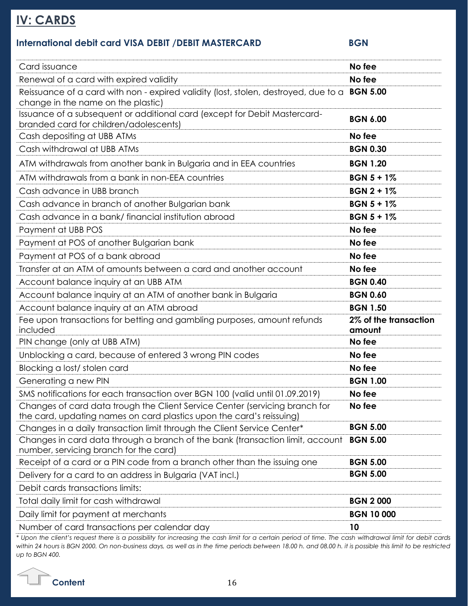# <span id="page-15-0"></span>**IV: CARDS**

# **International debit card VISA DEBIT /DEBIT MASTERCARD BGN**

| Card issuance                                                                                                                                       | No fee                          |
|-----------------------------------------------------------------------------------------------------------------------------------------------------|---------------------------------|
| Renewal of a card with expired validity                                                                                                             | No fee                          |
| Reissuance of a card with non - expired validity (lost, stolen, destroyed, due to a <b>BGN 5.00</b><br>change in the name on the plastic)           |                                 |
| Issuance of a subsequent or additional card (except for Debit Mastercard-<br>branded card for children/adolescents)                                 | <b>BGN 6.00</b>                 |
| Cash depositing at UBB ATMs                                                                                                                         | No fee                          |
| Cash withdrawal at UBB ATMs                                                                                                                         | <b>BGN 0.30</b>                 |
| ATM withdrawals from another bank in Bulgaria and in EEA countries                                                                                  | <b>BGN 1.20</b>                 |
| ATM withdrawals from a bank in non-EEA countries                                                                                                    | $BGN 5 + 1%$                    |
| Cash advance in UBB branch                                                                                                                          | $BGN 2 + 1%$                    |
| Cash advance in branch of another Bulgarian bank                                                                                                    | $BGN 5 + 1%$                    |
| Cash advance in a bank/ financial institution abroad                                                                                                | $BGN 5 + 1%$                    |
| Payment at UBB POS                                                                                                                                  | No fee                          |
| Payment at POS of another Bulgarian bank                                                                                                            | No fee                          |
| Payment at POS of a bank abroad                                                                                                                     | No fee                          |
| Transfer at an ATM of amounts between a card and another account                                                                                    | No fee                          |
| Account balance inquiry at an UBB ATM                                                                                                               | <b>BGN 0.40</b>                 |
| Account balance inquiry at an ATM of another bank in Bulgaria                                                                                       | <b>BGN 0.60</b>                 |
| Account balance inquiry at an ATM abroad                                                                                                            | <b>BGN 1.50</b>                 |
| Fee upon transactions for betting and gambling purposes, amount refunds<br>included                                                                 | 2% of the transaction<br>amount |
| PIN change (only at UBB ATM)                                                                                                                        | No fee                          |
| Unblocking a card, because of entered 3 wrong PIN codes                                                                                             | No fee                          |
| Blocking a lost/ stolen card                                                                                                                        | No fee                          |
| Generating a new PIN                                                                                                                                | <b>BGN 1.00</b>                 |
| SMS notifications for each transaction over BGN 100 (valid until 01.09.2019)                                                                        | No fee                          |
| Changes of card data trough the Client Service Center (servicing branch for<br>the card, updating names on card plastics upon the card's reissuing) | No fee                          |
| Changes in a daily transaction limit through the Client Service Center*                                                                             | <b>BGN 5.00</b>                 |
| Changes in card data through a branch of the bank (transaction limit, account<br>number, servicing branch for the card)                             | <b>BGN 5.00</b>                 |
| Receipt of a card or a PIN code from a branch other than the issuing one                                                                            | <b>BGN 5.00</b>                 |
| Delivery for a card to an address in Bulgaria (VAT incl.)                                                                                           | <b>BGN 5.00</b>                 |
| Debit cards transactions limits:                                                                                                                    |                                 |
| Total daily limit for cash withdrawal                                                                                                               | <b>BGN 2000</b>                 |
| Daily limit for payment at merchants                                                                                                                | <b>BGN 10 000</b>               |
| Number of card transactions per calendar day                                                                                                        | 10                              |

*\* Upon the client's request there is a possibility for increasing the cash limit for a certain period of time. The cash withdrawal limit for debit cards within 24 hours is BGN 2000. On non-business days, as well as in the time periods between 18.00 h. and 08.00 h. it is possible this limit to be restricted up to BGN 400.*

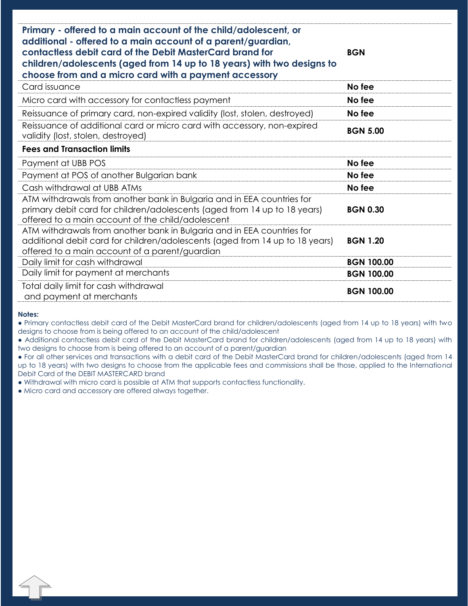| Primary - offered to a main account of the child/adolescent, or                                                                                                                                                                                             |                   |
|-------------------------------------------------------------------------------------------------------------------------------------------------------------------------------------------------------------------------------------------------------------|-------------------|
| additional - offered to a main account of a parent/guardian,<br>contactless debit card of the Debit MasterCard brand for<br>children/adolescents (aged from 14 up to 18 years) with two designs to<br>choose from and a micro card with a payment accessory | <b>BGN</b>        |
| Card issuance                                                                                                                                                                                                                                               | No fee            |
| Micro card with accessory for contactless payment                                                                                                                                                                                                           | No fee            |
| Reissuance of primary card, non-expired validity (lost, stolen, destroyed)                                                                                                                                                                                  | No fee            |
| Reissuance of additional card or micro card with accessory, non-expired<br>validity (lost, stolen, destroyed)                                                                                                                                               | <b>BGN 5.00</b>   |
| <b>Fees and Transaction limits</b>                                                                                                                                                                                                                          |                   |
| Payment at UBB POS                                                                                                                                                                                                                                          | No fee            |
| Payment at POS of another Bulgarian bank                                                                                                                                                                                                                    | No fee            |
| Cash withdrawal at UBB ATMs                                                                                                                                                                                                                                 | No fee            |
| ATM withdrawals from another bank in Bulgaria and in EEA countries for<br>primary debit card for children/adolescents (aged from 14 up to 18 years)<br>offered to a main account of the child/adolescent                                                    | <b>BGN 0.30</b>   |
| ATM withdrawals from another bank in Bulgaria and in EEA countries for<br>additional debit card for children/adolescents (aged from 14 up to 18 years)<br>offered to a main account of a parent/guardian                                                    | <b>BGN 1.20</b>   |
| Daily limit for cash withdrawal                                                                                                                                                                                                                             | <b>BGN 100.00</b> |
| Daily limit for payment at merchants                                                                                                                                                                                                                        | <b>BGN 100.00</b> |
| Total daily limit for cash withdrawal<br>and payment at merchants                                                                                                                                                                                           | <b>BGN 100.00</b> |

#### **Notes:**

● Primary contactless debit card of the Debit MasterCard brand for children/adolescents (aged from 14 up to 18 years) with two designs to choose from is being offered to an account of the child/adolescent

● Additional contactless debit card of the Debit MasterCard brand for children/adolescents (aged from 14 up to 18 years) with two designs to choose from is being offered to an account of a parent/guardian

● For all other services and transactions with a debit card of the Debit MasterCard brand for children/adolescents (aged from 14 up to 18 years) with two designs to choose from the applicable fees and commissions shall be those, applied to the International Debit Card of the DEBIT MASTERCARD brand

● Withdrawal with micro card is possible at ATM that supports contactless functionality.

**[C](#page-0-0)ontent** 17

● Micro card and accessory are offered always together.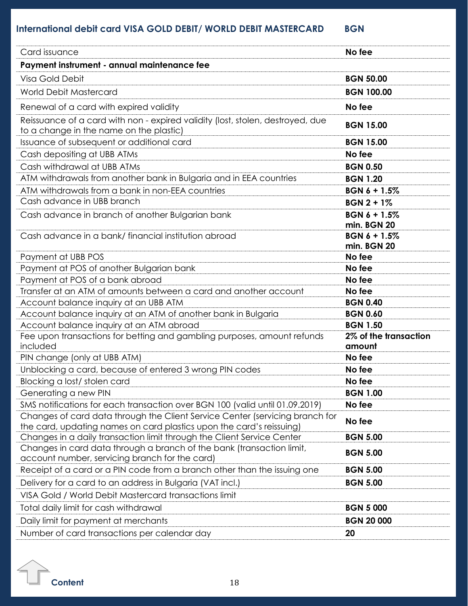# **International debit card VISA GOLD DEBIT/ WORLD DEBIT MASTERCARD BGN**

| Card issuance                                                                                                                                        | No fee                             |
|------------------------------------------------------------------------------------------------------------------------------------------------------|------------------------------------|
| Payment instrument - annual maintenance fee                                                                                                          |                                    |
| Visa Gold Debit                                                                                                                                      | <b>BGN 50.00</b>                   |
| <b>World Debit Mastercard</b>                                                                                                                        | <b>BGN 100.00</b>                  |
| Renewal of a card with expired validity                                                                                                              | No fee                             |
| Reissuance of a card with non - expired validity (lost, stolen, destroyed, due                                                                       |                                    |
| to a change in the name on the plastic)                                                                                                              | <b>BGN 15.00</b>                   |
| Issuance of subsequent or additional card                                                                                                            | <b>BGN 15.00</b>                   |
| Cash depositing at UBB ATMs                                                                                                                          | No fee                             |
| Cash withdrawal at UBB ATMs                                                                                                                          | <b>BGN 0.50</b>                    |
| ATM withdrawals from another bank in Bulgaria and in EEA countries                                                                                   | <b>BGN 1.20</b>                    |
| ATM withdrawals from a bank in non-EEA countries                                                                                                     | $BGN 6 + 1.5%$                     |
| Cash advance in UBB branch                                                                                                                           | $BGN 2 + 1%$                       |
| Cash advance in branch of another Bulgarian bank                                                                                                     | <b>BGN 6 + 1.5%</b>                |
|                                                                                                                                                      | min. BGN 20                        |
| Cash advance in a bank/ financial institution abroad                                                                                                 | $BGN 6 + 1.5%$                     |
|                                                                                                                                                      | min. BGN 20                        |
| Payment at UBB POS                                                                                                                                   | No fee                             |
| Payment at POS of another Bulgarian bank                                                                                                             | No fee                             |
| Payment at POS of a bank abroad                                                                                                                      | No fee                             |
| Transfer at an ATM of amounts between a card and another account                                                                                     | No fee                             |
| Account balance inquiry at an UBB ATM                                                                                                                | <b>BGN 0.40</b><br><b>BGN 0.60</b> |
| Account balance inquiry at an ATM of another bank in Bulgaria<br>Account balance inquiry at an ATM abroad                                            | <b>BGN 1.50</b>                    |
| Fee upon transactions for betting and gambling purposes, amount refunds                                                                              | 2% of the transaction              |
| included                                                                                                                                             | amount                             |
| PIN change (only at UBB ATM)                                                                                                                         | No fee                             |
| Unblocking a card, because of entered 3 wrong PIN codes                                                                                              | No fee                             |
| Blocking a lost/stolen card                                                                                                                          | No fee                             |
| Generating a new PIN                                                                                                                                 | <b>BGN 1.00</b>                    |
| SMS notifications for each transaction over BGN 100 (valid until 01.09.2019)                                                                         | No fee                             |
| Changes of card data through the Client Service Center (servicing branch for<br>the card, updating names on card plastics upon the card's reissuing) | No fee                             |
| Changes in a daily transaction limit through the Client Service Center                                                                               | <b>BGN 5.00</b>                    |
| Changes in card data through a branch of the bank (transaction limit,<br>account number, servicing branch for the card)                              | <b>BGN 5.00</b>                    |
| Receipt of a card or a PIN code from a branch other than the issuing one                                                                             | <b>BGN 5.00</b>                    |
| Delivery for a card to an address in Bulgaria (VAT incl.)                                                                                            | <b>BGN 5.00</b>                    |
| VISA Gold / World Debit Mastercard transactions limit                                                                                                |                                    |
| Total daily limit for cash withdrawal                                                                                                                | <b>BGN 5 000</b>                   |
| Daily limit for payment at merchants                                                                                                                 | <b>BGN 20 000</b>                  |
| Number of card transactions per calendar day                                                                                                         | 20                                 |

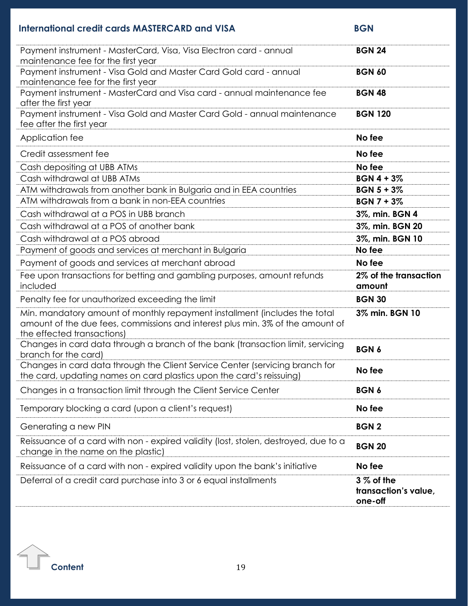# **International credit cards MASTERCARD and VISA** BGN

| Payment instrument - MasterCard, Visa, Visa Electron card - annual<br>maintenance fee for the first year                                                                                   | <b>BGN 24</b>                                  |
|--------------------------------------------------------------------------------------------------------------------------------------------------------------------------------------------|------------------------------------------------|
| Payment instrument - Visa Gold and Master Card Gold card - annual<br>maintenance fee for the first year                                                                                    | <b>BGN 60</b>                                  |
| Payment instrument - MasterCard and Visa card - annual maintenance fee<br>after the first year                                                                                             | <b>BGN 48</b>                                  |
| Payment instrument - Visa Gold and Master Card Gold - annual maintenance<br>fee after the first year                                                                                       | <b>BGN 120</b>                                 |
| Application fee                                                                                                                                                                            | No fee                                         |
| Credit assessment fee                                                                                                                                                                      | No fee                                         |
| Cash depositing at UBB ATMs                                                                                                                                                                | No fee                                         |
| Cash withdrawal at UBB ATMs                                                                                                                                                                | $BGN 4 + 3%$                                   |
| ATM withdrawals from another bank in Bulgaria and in EEA countries                                                                                                                         | $BGN 5 + 3%$                                   |
| ATM withdrawals from a bank in non-EEA countries                                                                                                                                           | <b>BGN 7 + 3%</b>                              |
| Cash withdrawal at a POS in UBB branch                                                                                                                                                     | 3%, min. BGN 4                                 |
| Cash withdrawal at a POS of another bank                                                                                                                                                   | 3%, min. BGN 20                                |
| Cash withdrawal at a POS abroad                                                                                                                                                            | 3%, min. BGN 10                                |
| Payment of goods and services at merchant in Bulgaria                                                                                                                                      | No fee                                         |
| Payment of goods and services at merchant abroad                                                                                                                                           | No fee                                         |
| Fee upon transactions for betting and gambling purposes, amount refunds<br>included                                                                                                        | 2% of the transaction<br>amount                |
| Penalty fee for unauthorized exceeding the limit                                                                                                                                           | <b>BGN 30</b>                                  |
| Min. mandatory amount of monthly repayment installment (includes the total<br>amount of the due fees, commissions and interest plus min. 3% of the amount of<br>the effected transactions) | 3% min. BGN 10                                 |
| Changes in card data through a branch of the bank (transaction limit, servicing<br>branch for the card)                                                                                    | <b>BGN6</b>                                    |
| Changes in card data through the Client Service Center (servicing branch for<br>the card, updating names on card plastics upon the card's reissuing)                                       | No fee                                         |
| Changes in a transaction limit through the Client Service Center                                                                                                                           | <b>BGN6</b>                                    |
| Temporary blocking a card (upon a client's request)                                                                                                                                        | No fee                                         |
| Generating a new PIN                                                                                                                                                                       | <b>BGN2</b>                                    |
| Reissuance of a card with non - expired validity (lost, stolen, destroyed, due to a<br>change in the name on the plastic)                                                                  | <b>BGN 20</b>                                  |
| Reissuance of a card with non - expired validity upon the bank's initiative                                                                                                                | No fee                                         |
| Deferral of a credit card purchase into 3 or 6 equal installments                                                                                                                          | $3%$ of the<br>transaction's value,<br>one-off |
|                                                                                                                                                                                            |                                                |

 $\Gamma$ **[C](#page-0-0)ontent** 19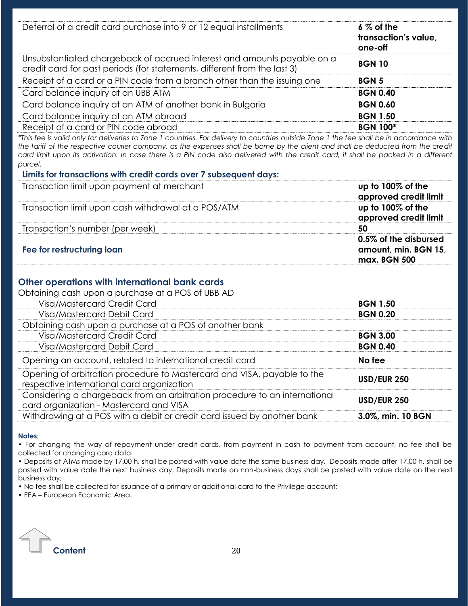| Deferral of a credit card purchase into 9 or 12 equal installments                                                                                  | $6\%$ of the<br>transaction's value,<br>one-off |
|-----------------------------------------------------------------------------------------------------------------------------------------------------|-------------------------------------------------|
| Unsubstantiated chargeback of accrued interest and amounts payable on a<br>credit card for past periods (for statements, different from the last 3) | <b>BGN 10</b>                                   |
| Receipt of a card or a PIN code from a branch other than the issuing one                                                                            | <b>BGN5</b>                                     |
| Card balance inquiry at an UBB ATM                                                                                                                  | <b>BGN 0.40</b>                                 |
| Card balance inquiry at an ATM of another bank in Bulgaria                                                                                          | <b>BGN 0.60</b>                                 |
| Card balance inquiry at an ATM abroad                                                                                                               | <b>BGN 1.50</b>                                 |
| Receipt of a card or PIN code abroad                                                                                                                | <b>BGN 100*</b>                                 |

*\*This fee is valid only for deliveries to Zone 1 countries. For delivery to countries outside Zone 1 the fee shall be in accordance with the tariff of the respective courier company, as the expenses shall be borne by the client and shall be deducted from the credit card limit upon its activation. In case there is a PIN code also delivered with the credit card, it shall be packed in a different parcel.*

#### **Limits for transactions with credit cards over 7 subsequent days:**

| Transaction limit upon payment at merchant          | up to 100% of the<br>approved credit limit                    |
|-----------------------------------------------------|---------------------------------------------------------------|
| Transaction limit upon cash withdrawal at a POS/ATM | up to $100\%$ of the<br>approved credit limit                 |
| Transaction's number (per week)                     | 50                                                            |
| Fee for restructuring loan                          | 0.5% of the disbursed<br>amount, min. BGN 15,<br>max. BGN 500 |

### **Other operations with international bank cards**

Obtaining cash upon a purchase at a POS of UBB AD

| Visa/Mastercard Credit Card                                                                                           | <b>BGN 1.50</b>    |
|-----------------------------------------------------------------------------------------------------------------------|--------------------|
| Visa/Mastercard Debit Card                                                                                            | <b>BGN 0.20</b>    |
| Obtaining cash upon a purchase at a POS of another bank                                                               |                    |
| Visa/Mastercard Credit Card                                                                                           | <b>BGN 3.00</b>    |
| Visa/Mastercard Debit Card                                                                                            | <b>BGN 0.40</b>    |
| Opening an account, related to international credit card                                                              | No fee             |
| Opening of arbitration procedure to Mastercard and VISA, payable to the<br>respective international card organization | <b>USD/EUR 250</b> |
| Considering a chargeback from an arbitration procedure to an international<br>card organization - Mastercard and VISA | <b>USD/EUR 250</b> |
| Withdrawing at a POS with a debit or credit card issued by another bank                                               | 3.0%, min. 10 BGN  |
|                                                                                                                       |                    |

#### **Notes:**

• For changing the way of repayment under credit cards, from payment in cash to payment from account, no fee shall be collected for changing card data.

• Deposits at ATMs made by 17.00 h. shall be posted with value date the same business day. Deposits made after 17.00 h. shall be posted with value date the next business day. Deposits made on non-business days shall be posted with value date on the next business day;

• No fee shall be collected for issuance of a primary or additional card to the Privilege account;

• EEA – European Economic Area.

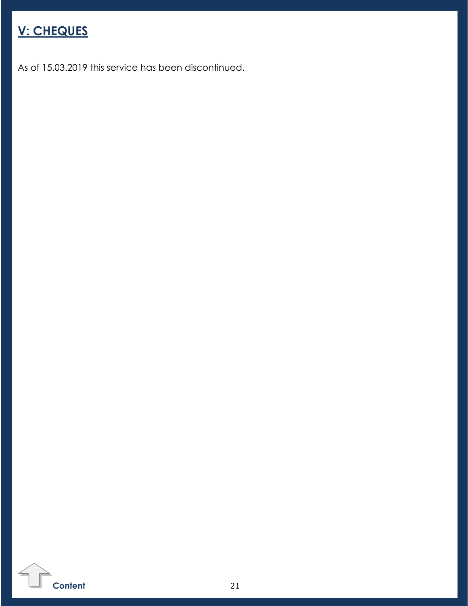<span id="page-20-0"></span>

As of 15.03.2019 this service has been discontinued.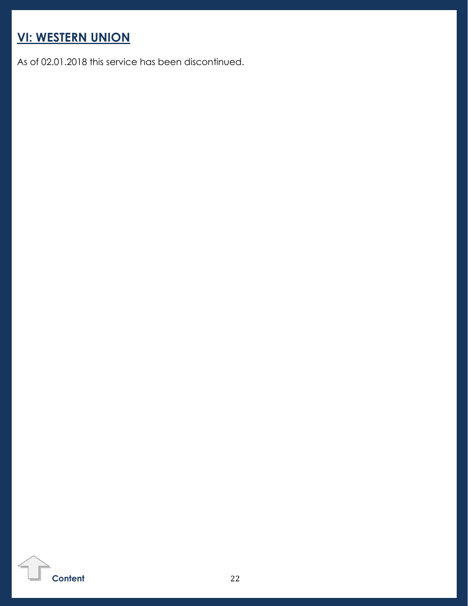# <span id="page-21-0"></span>**VI: WESTERN UNION**

As of 02.01.2018 this service has been discontinued.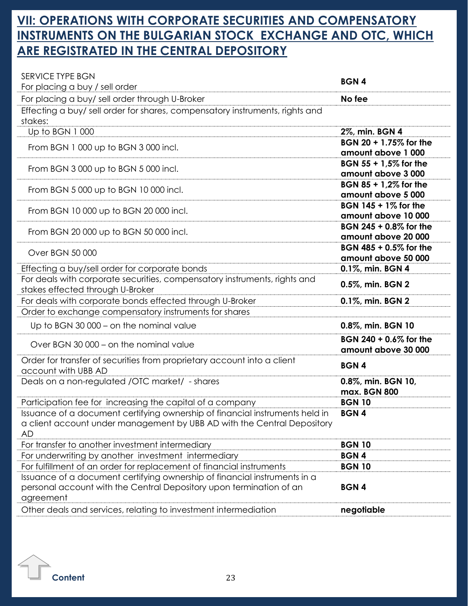# <span id="page-22-0"></span>**VII: OPERATIONS WITH CORPORATE SECURITIES AND COMPENSATORY INSTRUMENTS ON THE BULGARIAN STOCK EXCHANGE AND OTC, WHICH ARE REGISTRATED IN THE CENTRAL DEPOSITORY**

| SERVICE TYPE BGN                                                                                                                                              | <b>BGN4</b>                                   |
|---------------------------------------------------------------------------------------------------------------------------------------------------------------|-----------------------------------------------|
| For placing a buy / sell order                                                                                                                                |                                               |
| For placing a buy/ sell order through U-Broker                                                                                                                | No fee                                        |
| Effecting a buy/ sell order for shares, compensatory instruments, rights and<br>stakes:                                                                       |                                               |
| Up to BGN 1000                                                                                                                                                | 2%, min. BGN 4                                |
| From BGN 1 000 up to BGN 3 000 incl.                                                                                                                          | BGN 20 + 1.75% for the<br>amount above 1 000  |
| From BGN 3000 up to BGN 5000 incl.                                                                                                                            | BGN 55 + 1,5% for the<br>amount above 3000    |
| From BGN 5 000 up to BGN 10 000 incl.                                                                                                                         | BGN 85 + 1,2% for the<br>amount above 5 000   |
| From BGN 10 000 up to BGN 20 000 incl.                                                                                                                        | BGN 145 + 1% for the<br>amount above 10 000   |
| From BGN 20 000 up to BGN 50 000 incl.                                                                                                                        | BGN 245 + 0.8% for the<br>amount above 20 000 |
| Over BGN 50 000                                                                                                                                               | BGN 485 + 0.5% for the<br>amount above 50 000 |
| Effecting a buy/sell order for corporate bonds                                                                                                                | 0.1%, min. BGN 4                              |
| For deals with corporate securities, compensatory instruments, rights and<br>stakes effected through U-Broker                                                 | 0.5%, min. BGN 2                              |
| For deals with corporate bonds effected through U-Broker                                                                                                      | 0.1%, min. BGN 2                              |
| Order to exchange compensatory instruments for shares                                                                                                         |                                               |
| Up to BGN 30 000 – on the nominal value                                                                                                                       | 0.8%, min. BGN 10                             |
| Over BGN 30 000 - on the nominal value                                                                                                                        | BGN 240 + 0.6% for the<br>amount above 30 000 |
| Order for transfer of securities from proprietary account into a client<br>account with UBB AD                                                                | <b>BGN4</b>                                   |
| Deals on a non-regulated /OTC market/ - shares                                                                                                                | 0.8%, min. BGN 10,<br>max. BGN 800            |
| Participation fee for increasing the capital of a company                                                                                                     | <b>BGN 10</b>                                 |
| Issuance of a document certifying ownership of financial instruments held in<br>a client account under management by UBB AD with the Central Depository<br>AD | <b>BGN4</b>                                   |
| For transfer to another investment intermediary                                                                                                               | <b>BGN 10</b>                                 |
| For underwriting by another investment intermediary                                                                                                           | <b>BGN4</b>                                   |
| For fulfillment of an order for replacement of financial instruments                                                                                          | <b>BGN 10</b>                                 |
| Issuance of a document certifying ownership of financial instruments in a<br>personal account with the Central Depository upon termination of an<br>agreement | <b>BGN4</b>                                   |
| Other deals and services, relating to investment intermediation                                                                                               | negotiable                                    |
|                                                                                                                                                               |                                               |

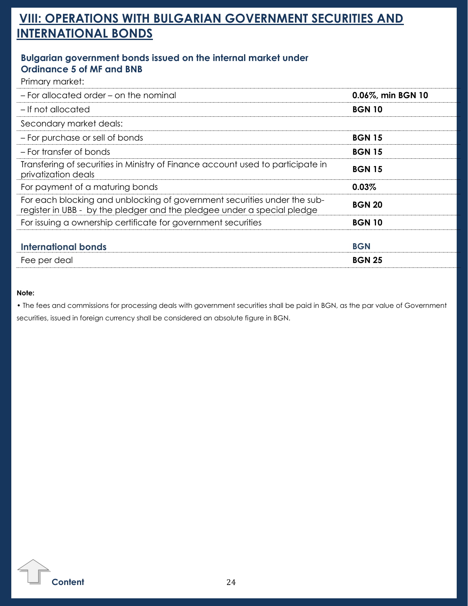# **VIII: OPERATIONS WITH BULGARIAN GOVERNMENT SECURITIES AND INTERNATIONAL BONDS**

### <span id="page-23-0"></span>**Bulgarian government bonds issued on the internal market under Ordinance 5 of MF and BNB**

Primary market:

| 0.06%, min BGN 10 |
|-------------------|
| <b>BGN 10</b>     |
|                   |
| <b>BGN 15</b>     |
| <b>BGN 15</b>     |
| <b>BGN 15</b>     |
| 0.03%             |
| <b>BGN 20</b>     |
| <b>BGN 10</b>     |
| <b>BGN</b>        |
| <b>BGN 25</b>     |
|                   |

#### **Note:**

• The fees and commissions for processing deals with government securities shall be paid in BGN, as the par value of Government securities, issued in foreign currency shall be considered an absolute figure in BGN.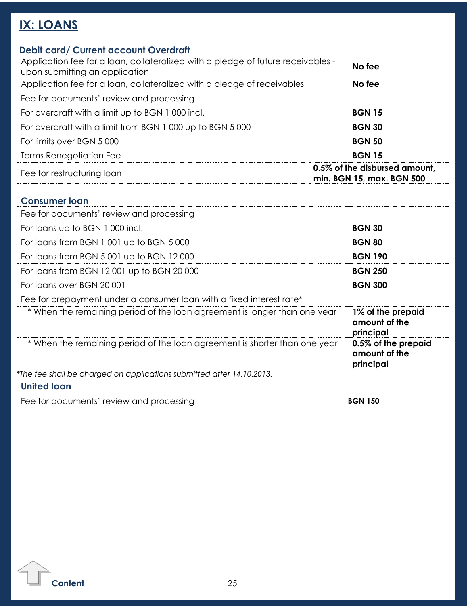# <span id="page-24-0"></span>**IX: LOANS**

| <b>Debit card/ Current account Overdraft</b>                                                                       |                                                            |
|--------------------------------------------------------------------------------------------------------------------|------------------------------------------------------------|
| Application fee for a loan, collateralized with a pledge of future receivables -<br>upon submitting an application | No fee                                                     |
| Application fee for a loan, collateralized with a pledge of receivables                                            | No fee                                                     |
| Fee for documents' review and processing                                                                           |                                                            |
| For overdraft with a limit up to BGN 1000 incl.                                                                    | <b>BGN 15</b>                                              |
| For overdraft with a limit from BGN 1 000 up to BGN 5 000                                                          | <b>BGN 30</b>                                              |
| For limits over BGN 5000                                                                                           | <b>BGN 50</b>                                              |
| Terms Renegotiation Fee                                                                                            | <b>BGN 15</b>                                              |
| Fee for restructuring loan                                                                                         | 0.5% of the disbursed amount.<br>min. BGN 15, max. BGN 500 |
| <b>Consumer loan</b>                                                                                               |                                                            |
| Fee for documents' review and processing                                                                           |                                                            |
| For loans up to BGN 1000 incl.                                                                                     | <b>BGN 30</b>                                              |
| For loans from BGN 1 001 up to BGN 5 000                                                                           | <b>BGN 80</b>                                              |
| For loans from BGN 5 001 up to BGN 12 000                                                                          | <b>BGN 190</b>                                             |
| For loans from BGN 12001 up to BGN 20000                                                                           | <b>BGN 250</b>                                             |
| For loans over BGN 20001                                                                                           | <b>BGN 300</b>                                             |
| Fee for prepayment under a consumer loan with a fixed interest rate*                                               |                                                            |
| * When the remaining period of the loan agreement is longer than one year                                          | 1% of the prepaid<br>amount of the<br>principal            |
| * When the remaining period of the loan agreement is shorter than one year                                         | 0.5% of the prepaid<br>amount of the                       |

**principal**

*\*The fee shall be charged on applications submitted after 14.10.2013.* **United loan**

Fee for documents' review and processing **BGN 150 BGN 150**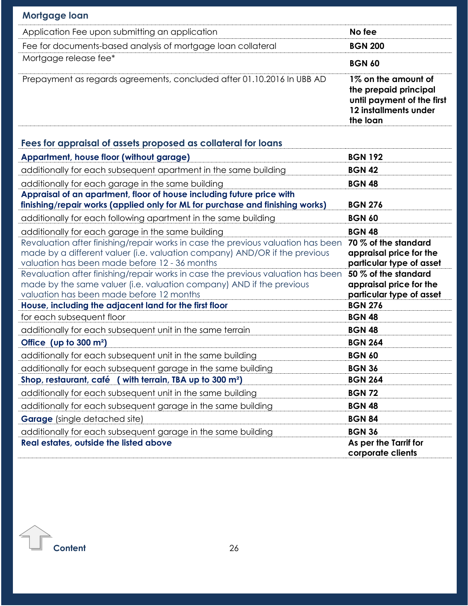| Mortgage loan                                                                                                                                                                                                   |                                                                                                                 |
|-----------------------------------------------------------------------------------------------------------------------------------------------------------------------------------------------------------------|-----------------------------------------------------------------------------------------------------------------|
| Application Fee upon submitting an application                                                                                                                                                                  | No fee                                                                                                          |
| Fee for documents-based analysis of mortgage loan collateral                                                                                                                                                    | <b>BGN 200</b>                                                                                                  |
| Mortgage release fee*                                                                                                                                                                                           | <b>BGN 60</b>                                                                                                   |
| Prepayment as regards agreements, concluded after 01.10.2016 In UBB AD                                                                                                                                          | 1% on the amount of<br>the prepaid principal<br>until payment of the first<br>12 installments under<br>the loan |
| Fees for appraisal of assets proposed as collateral for loans                                                                                                                                                   |                                                                                                                 |
| Appartment, house floor (without garage)                                                                                                                                                                        | <b>BGN 192</b>                                                                                                  |
| additionally for each subsequent apartment in the same building                                                                                                                                                 | <b>BGN 42</b>                                                                                                   |
| additionally for each garage in the same building                                                                                                                                                               | <b>BGN 48</b>                                                                                                   |
| Appraisal of an apartment, floor of house including future price with<br>finishing/repair works (applied only for ML for purchase and finishing works)                                                          | <b>BGN 276</b>                                                                                                  |
| additionally for each following apartment in the same building                                                                                                                                                  | <b>BGN 60</b>                                                                                                   |
| additionally for each garage in the same building                                                                                                                                                               | <b>BGN 48</b>                                                                                                   |
| Revaluation after finishing/repair works in case the previous valuation has been<br>made by a different valuer (i.e. valuation company) AND/OR if the previous<br>valuation has been made before 12 - 36 months | 70 % of the standard<br>appraisal price for the<br>particular type of asset                                     |
| Revaluation after finishing/repair works in case the previous valuation has been<br>made by the same valuer (i.e. valuation company) AND if the previous<br>valuation has been made before 12 months            | 50 % of the standard<br>appraisal price for the<br>particular type of asset                                     |
| House, including the adjacent land for the first floor                                                                                                                                                          | <b>BGN 276</b>                                                                                                  |
| for each subsequent floor                                                                                                                                                                                       | <b>BGN 48</b>                                                                                                   |
| additionally for each subsequent unit in the same terrain                                                                                                                                                       | <b>BGN 48</b>                                                                                                   |
| Office (up to $300 \text{ m}^2$ )                                                                                                                                                                               | <b>BGN 264</b>                                                                                                  |
| additionally for each subsequent unit in the same building                                                                                                                                                      | <b>BGN 60</b>                                                                                                   |
| additionally for each subsequent garage in the same building                                                                                                                                                    | <b>BGN 36</b>                                                                                                   |
| Shop, restaurant, café (with terrain, TBA up to 300 m <sup>2</sup> )                                                                                                                                            | <b>BGN 264</b>                                                                                                  |
| additionally for each subsequent unit in the same building                                                                                                                                                      | <b>BGN 72</b>                                                                                                   |
| additionally for each subsequent garage in the same building                                                                                                                                                    | <b>BGN 48</b>                                                                                                   |
| <b>Garage</b> (single detached site)                                                                                                                                                                            | <b>BGN 84</b>                                                                                                   |
| additionally for each subsequent garage in the same building<br><b>Real estates, outside the listed above</b>                                                                                                   | <b>BGN 36</b><br>As per the Tarrif for                                                                          |
|                                                                                                                                                                                                                 | corporate clients                                                                                               |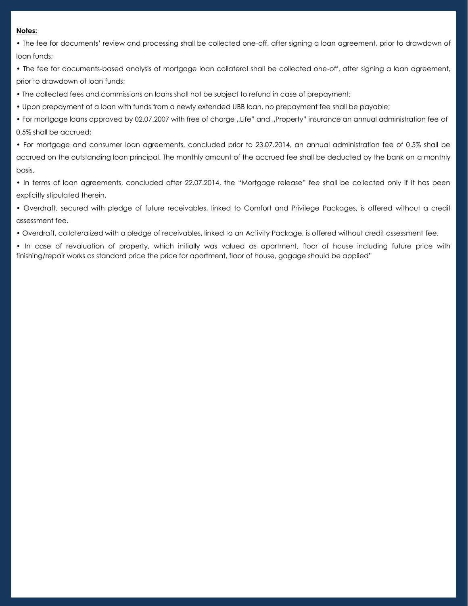#### **Notes:**

• The fee for documents' review and processing shall be collected one-off, after signing a loan agreement, prior to drawdown of loan funds;

• The fee for documents-based analysis of mortgage loan collateral shall be collected one-off, after signing a loan agreement, prior to drawdown of loan funds;

• The collected fees and commissions on loans shall not be subject to refund in case of prepayment;

• Upon prepayment of a loan with funds from a newly extended UBB loan, no prepayment fee shall be payable;

• For mortgage loans approved by 02.07.2007 with free of charge "Life" and "Property" insurance an annual administration fee of 0.5% shall be accrued;

• For mortgage and consumer loan agreements, concluded prior to 23.07.2014, an annual administration fee of 0.5% shall be accrued on the outstanding loan principal. The monthly amount of the accrued fee shall be deducted by the bank on a monthly basis.

• In terms of loan agreements, concluded after 22.07.2014, the "Mortgage release" fee shall be collected only if it has been explicitly stipulated therein.

• Overdraft, secured with pledge of future receivables, linked to Comfort and Privilege Packages, is offered without a credit assessment fee.

• Overdraft, collateralized with a pledge of receivables, linked to an Activity Package, is offered without credit assessment fee.

• In case of revaluation of property, which initially was valued as apartment, floor of house including future price with finishing/repair works as standard price the price for apartment, floor of house, gagage should be applied"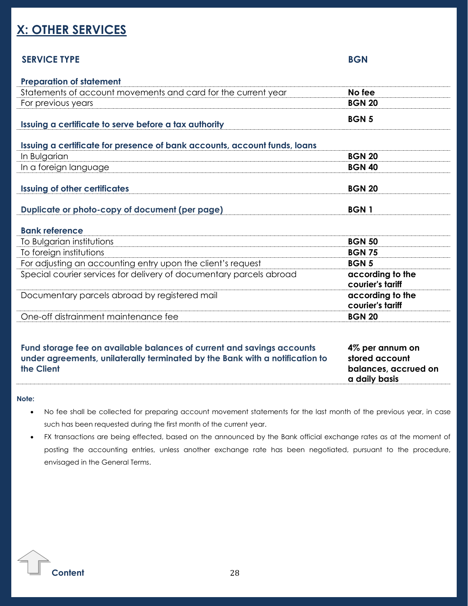# <span id="page-27-0"></span>**X: OTHER SERVICES**

### **SERVICE TYPE BGN**

| <b>Preparation of statement</b>                                           |                                      |
|---------------------------------------------------------------------------|--------------------------------------|
| Statements of account movements and card for the current year             | No fee                               |
| For previous years                                                        | <b>BGN 20</b>                        |
| Issuing a certificate to serve before a tax authority                     | <b>BGN5</b>                          |
| Issuing a certificate for presence of bank accounts, account funds, loans |                                      |
| In Bulgarian                                                              | <b>BGN 20</b>                        |
| In a foreign language                                                     | <b>BGN 40</b>                        |
| <b>Issuing of other certificates</b>                                      | <b>BGN 20</b>                        |
| Duplicate or photo-copy of document (per page)                            | <b>BGN1</b>                          |
| <b>Bank reference</b>                                                     |                                      |
| To Bulgarian institutions                                                 | <b>BGN 50</b>                        |
| To foreign institutions                                                   | <b>BGN 75</b>                        |
| For adjusting an accounting entry upon the client's request               | <b>BGN 5</b>                         |
| Special courier services for delivery of documentary parcels abroad       | according to the<br>courier's tariff |
| Documentary parcels abroad by registered mail                             | according to the                     |
|                                                                           | courier's tariff                     |
| One-off distrainment maintenance fee                                      | <b>BGN 20</b>                        |

**Fund storage fee on available balances of current and savings accounts under agreements, unilaterally terminated by the Bank with a notification to the Client**

**4% per annum on stored account balances, accrued on a daily basis**

#### **Note:**

- No fee shall be collected for preparing account movement statements for the last month of the previous year, in case such has been requested during the first month of the current year.
- FX transactions are being effected, based on the announced by the Bank official exchange rates as at the moment of posting the accounting entries, unless another exchange rate has been negotiated, pursuant to the procedure, envisaged in the General Terms.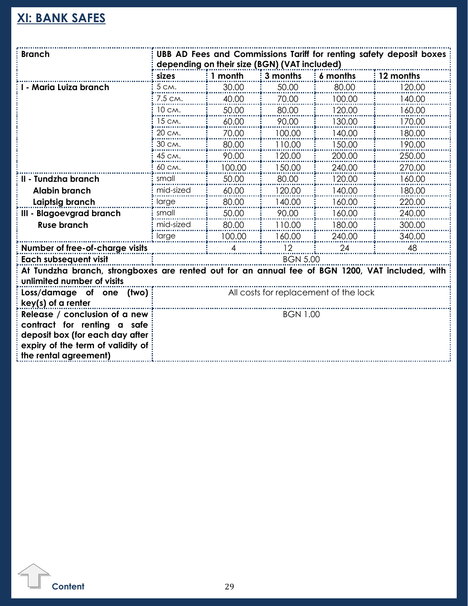# <span id="page-28-0"></span>**XI: BANK SAFES**

| <b>Branch</b>                                                                                   | UBB AD Fees and Commissions Tariff for renting safety deposit boxes<br>depending on their size (BGN) (VAT included) |         |                 |          |           |
|-------------------------------------------------------------------------------------------------|---------------------------------------------------------------------------------------------------------------------|---------|-----------------|----------|-----------|
|                                                                                                 | sizes                                                                                                               | 1 month | 3 months        | 6 months | 12 months |
| - Maria Luiza branch                                                                            | 5 CM.                                                                                                               | 30.00   | 50.00           | 80.00    | 120.00    |
|                                                                                                 | 7.5 CM.                                                                                                             | 40.00   | 70.00           | 100.00   | 140.00    |
|                                                                                                 | 10 см.                                                                                                              | 50.00   | 80.00           | 120.00   | 160.00    |
|                                                                                                 | 15 cm.                                                                                                              | 60.00   | 90.00           | 130.00   | 170.00    |
|                                                                                                 | 20 см.                                                                                                              | 70.00   | 100.00          | 140.00   | 180.00    |
|                                                                                                 | 30 см.                                                                                                              | 80.00   | 110.00          | 150.00   | 190.00    |
|                                                                                                 | 45 CM.                                                                                                              | 90.00   | 120.00          | 200.00   | 250.00    |
|                                                                                                 | 60 см.                                                                                                              | 100.00  | 150.00          | 240.00   | 270.00    |
| II - Tundzha branch                                                                             | small                                                                                                               | 50.00   | 80.00           | 120.00   | 160.00    |
| <b>Alabin branch</b>                                                                            | mid-sized                                                                                                           | 60.00   | 120.00          | 140.00   | 180.00    |
| Laiptsig branch                                                                                 | large                                                                                                               | 80.00   | 140.00          | 160.00   | 220.00    |
| III - Blagoevgrad branch                                                                        | small                                                                                                               | 50.00   | 90.00           | 160.00   | 240.00    |
| <b>Ruse branch</b>                                                                              | mid-sized                                                                                                           | 80.00   | 110.00          | 180.00   | 300.00    |
|                                                                                                 | large                                                                                                               | 100.00  | 160.00          | 240.00   | 340.00    |
| Number of free-of-charge visits                                                                 |                                                                                                                     | 4       | 12              | 24       | 48        |
| <b>Each subsequent visit</b>                                                                    |                                                                                                                     |         | <b>BGN 5.00</b> |          |           |
| At Tundzha branch, strongboxes are rented out for an annual fee of BGN 1200, VAT included, with |                                                                                                                     |         |                 |          |           |
| unlimited number of visits                                                                      |                                                                                                                     |         |                 |          |           |
| Loss/damage of one (two)                                                                        | All costs for replacement of the lock                                                                               |         |                 |          |           |
| $key(s)$ of a renter                                                                            |                                                                                                                     |         |                 |          |           |
| Release / conclusion of a new                                                                   | <b>BGN 1.00</b>                                                                                                     |         |                 |          |           |
| contract for renting a safe                                                                     |                                                                                                                     |         |                 |          |           |
| deposit box (for each day after                                                                 |                                                                                                                     |         |                 |          |           |
| expiry of the term of validity of                                                               |                                                                                                                     |         |                 |          |           |
| the rental agreement)                                                                           |                                                                                                                     |         |                 |          |           |

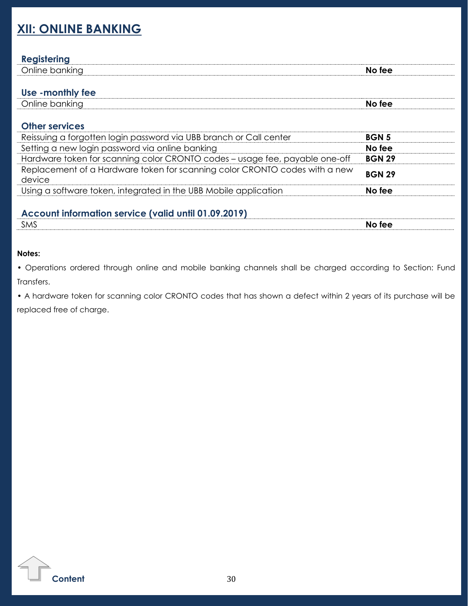# <span id="page-29-0"></span>**XII: ONLINE BANKING**

### **Registering**

| -------------                                 |                    |
|-----------------------------------------------|--------------------|
| $\overline{\phantom{1}}$<br>∩nline .<br>∩kın∩ | ء ہ ا<br>NC.<br>-- |
|                                               |                    |

### **Use -monthly fee**

| $\sim$<br>)nline<br>pankina | ree<br>NO |
|-----------------------------|-----------|
|                             |           |

### **Other services**

| Reissuing a forgotten login password via UBB branch or Call center                   | <b>BGN 5</b>  |
|--------------------------------------------------------------------------------------|---------------|
| Setting a new login password via online banking                                      | No fee        |
| Hardware token for scanning color CRONTO codes - usage fee, payable one-off          | <b>BGN 29</b> |
| Replacement of a Hardware token for scanning color CRONTO codes with a new<br>device | <b>BGN 29</b> |
| Using a software token, integrated in the UBB Mobile application                     | No fee        |
|                                                                                      |               |

### **Account information service (valid until 01.09.2019)**

| <b>SMS</b> | tee<br>NO |
|------------|-----------|
|            |           |

#### **Notes:**

• Operations ordered through online and mobile banking channels shall be charged according to Section: Fund Transfers.

• A hardware token for scanning color CRONTO codes that has shown a defect within 2 years of its purchase will be replaced free of charge.

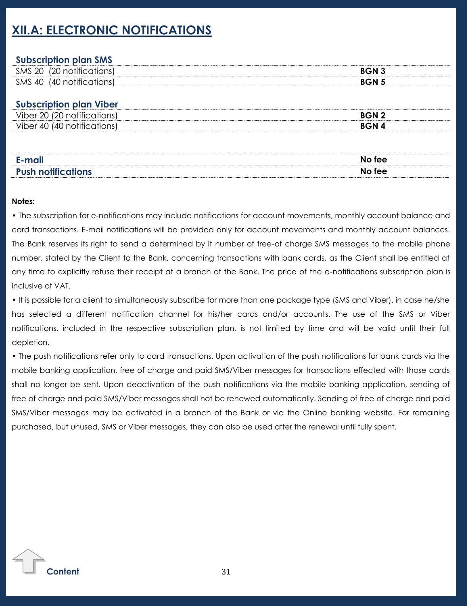# <span id="page-30-0"></span>**XII.A: ELECTRONIC NOTIFICATIONS**

### **Subscription plan SMS**

| <b>SMS</b><br>20 | .OC<br>צו | $RCN$ ? |
|------------------|-----------|---------|
| SMS<br>, 40      | n<br>LШ   |         |

### **Subscription plan Viber**

| $\cdots$<br><b>BGN2</b><br>Vih.<br>7∆r<br>۰,ι<br>Vir<br><b>BGN</b><br>∩∩r<br>n∩<br>40<br>⊥ ⁄l I<br><br>. . | - - - - -<br>___ |  |
|------------------------------------------------------------------------------------------------------------|------------------|--|
|                                                                                                            |                  |  |
|                                                                                                            |                  |  |

| E-mail                    | No fee |
|---------------------------|--------|
| <b>Push notifications</b> | No fee |

#### **Notes:**

• The subscription for e-notifications may include notifications for account movements, monthly account balance and card transactions. Е-mail notifications will be provided only for account movements and monthly account balances. The Bank reserves its right to send a determined by it number of free-of charge SMS messages to the mobile phone number, stated by the Client to the Bank, concerning transactions with bank cards, as the Client shall be entitled at any time to explicitly refuse their receipt at a branch of the Bank. The price of the e-notifications subscription plan is inclusive of VAT.

• It is possible for a client to simultaneously subscribe for more than one package type (SMS and Viber), in case he/she has selected a different notification channel for his/her cards and/or accounts. The use of the SMS or Viber notifications, included in the respective subscription plan, is not limited by time and will be valid until their full depletion.

• The push notifications refer only to card transactions. Upon activation of the push notifications for bank cards via the mobile banking application, free of charge and paid SMS/Viber messages for transactions effected with those cards shall no longer be sent. Upon deactivation of the push notifications via the mobile banking application, sending of free of charge and paid SMS/Viber messages shall not be renewed automatically. Sending of free of charge and paid SMS/Viber messages may be activated in a branch of the Bank or via the Online banking website. For remaining purchased, but unused, SMS or Viber messages, they can also be used after the renewal until fully spent.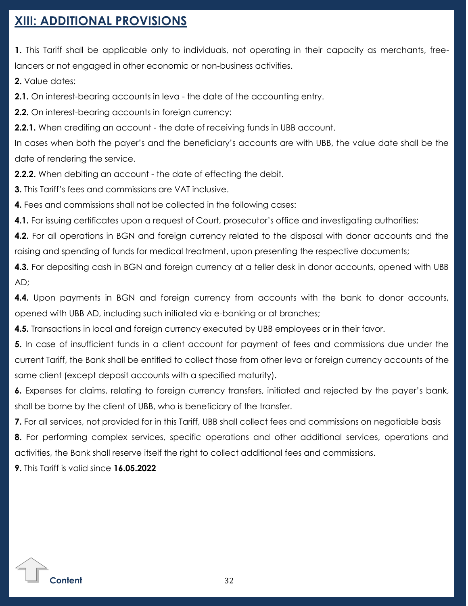# <span id="page-31-0"></span>**XIII: ADDITIONAL PROVISIONS**

**1.** This Tariff shall be applicable only to individuals, not operating in their capacity as merchants, freelancers or not engaged in other economic or non-business activities.

**2.** Value dates:

**2.1.** On interest-bearing accounts in leva - the date of the accounting entry.

**2.2.** On interest-bearing accounts in foreign currency:

**2.2.1.** When crediting an account - the date of receiving funds in UBB account.

In cases when both the payer's and the beneficiary's accounts are with UBB, the value date shall be the date of rendering the service.

**2.2.2.** When debiting an account - the date of effecting the debit.

**3.** This Tariff's fees and commissions are VAT inclusive.

**4.** Fees and commissions shall not be collected in the following cases:

**4.1.** For issuing certificates upon a request of Court, prosecutor's office and investigating authorities;

**4.2.** For all operations in BGN and foreign currency related to the disposal with donor accounts and the raising and spending of funds for medical treatment, upon presenting the respective documents;

**4.3.** For depositing cash in BGN and foreign currency at a teller desk in donor accounts, opened with UBB AD;

**4.4.** Upon payments in BGN and foreign currency from accounts with the bank to donor accounts, opened with UBB AD, including such initiated via e-banking or at branches;

**4.5.** Transactions in local and foreign currency executed by UBB employees or in their favor.

**5.** In case of insufficient funds in a client account for payment of fees and commissions due under the current Tariff, the Bank shall be entitled to collect those from other leva or foreign currency accounts of the same client (except deposit accounts with a specified maturity).

**6.** Expenses for claims, relating to foreign currency transfers, initiated and rejected by the payer's bank, shall be borne by the client of UBB, who is beneficiary of the transfer.

**7.** For all services, not provided for in this Tariff, UBB shall collect fees and commissions on negotiable basis

**8.** For performing complex services, specific operations and other additional services, operations and activities, the Bank shall reserve itself the right to collect additional fees and commissions.

**9.** This Tariff is valid since **16.05.2022**